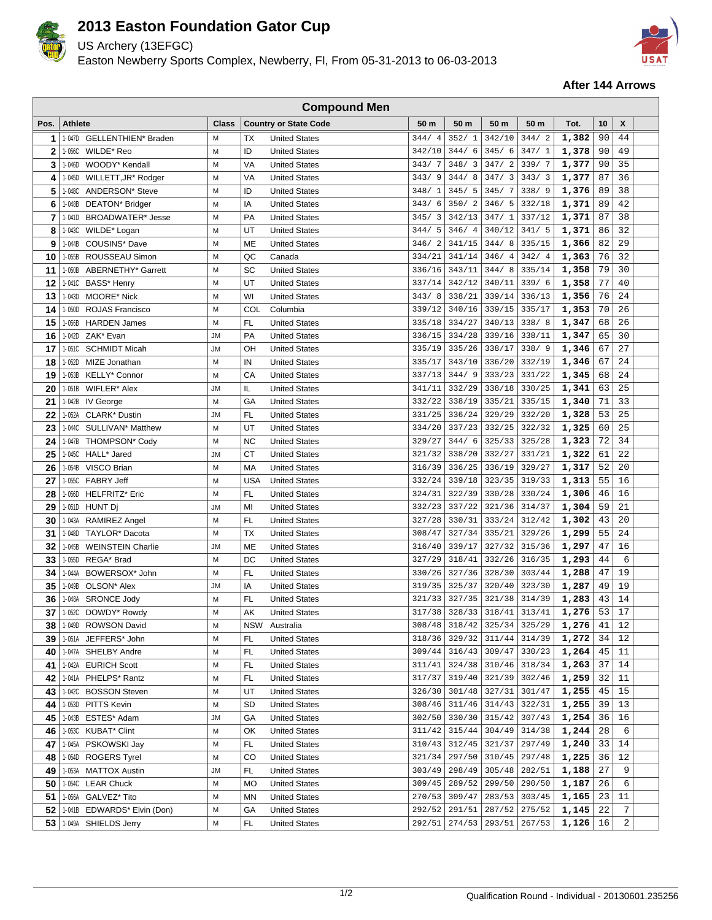

## **2013 Easton Foundation Gator Cup**

US Archery (13EFGC)

Easton Newberry Sports Complex, Newberry, Fl, From 05-31-2013 to 06-03-2013



## **After 144 Arrows**

| <b>Compound Men</b> |                  |                               |              |            |                                              |                  |                  |                                         |                  |                |          |          |  |
|---------------------|------------------|-------------------------------|--------------|------------|----------------------------------------------|------------------|------------------|-----------------------------------------|------------------|----------------|----------|----------|--|
| Pos.                | <b>Athlete</b>   |                               | <b>Class</b> |            | <b>Country or State Code</b>                 | 50 m             | 50 m             | 50 m                                    | 50 m             | Tot.           | 10       | X        |  |
| 1                   | 1-047D           | <b>GELLENTHIEN* Braden</b>    | M            | ТX         | <b>United States</b>                         | 344/4            | 352/1            | 342/10                                  | 344/2            | 1,382          | 90       | 44       |  |
| 2                   | 1-056C           | WILDE* Reo                    | M            | ID         | <b>United States</b>                         | 342/10           | 344/6            | 345/6                                   | 347/1            | 1,378          | 90       | 49       |  |
| 3                   | 1-046D           | WOODY* Kendall                | M            | VA         | <b>United States</b>                         | 343/7            | 348/3            | 347/2                                   | 339/7            | 1,377          | 90       | 35       |  |
| 4                   | 1-045D           | WILLETT, JR* Rodger           | M            | VA         | <b>United States</b>                         | 343/9            | 344/8            | 347/3                                   | 343/3            | 1,377          | 87       | 36       |  |
| 5                   | 1-048C           | ANDERSON* Steve               | M            | ID         | <b>United States</b>                         | 348/1            | 345/5            | 345/7                                   | 338/9            | 1,376          | 89       | 38       |  |
| 6                   | 1-048B           | DEATON* Bridger               | M            | ΙA         | <b>United States</b>                         | 343/6            | 350/2            | 346/5                                   | 332/18           | 1,371          | 89       | 42       |  |
| 7                   | 1-041D           | <b>BROADWATER*</b> Jesse      | M            | PA         | <b>United States</b>                         | 345/3            | 342/13           | 347/1                                   | 337/12           | 1,371          | 87       | 38       |  |
| 8                   | 1-043C           | WILDE* Logan                  | M            | UT         | <b>United States</b>                         | 344/5            | 346/4            | 340/12                                  | 341/5            | 1,371          | 86       | 32       |  |
| 9                   | 1-044B           | COUSINS* Dave                 | M            | ME         | <b>United States</b>                         | 346/2            | 341/15           | 344/8                                   | 335/15           | 1,366          | 82       | 29       |  |
| 10                  | 1-055B           | ROUSSEAU Simon                | M            | QC         | Canada                                       | 334/21           | 341/14           | 346/4                                   | 342/4            | 1,363          | 76       | 32       |  |
| 11                  | 1-050B           | ABERNETHY* Garrett            | M            | SC         | <b>United States</b>                         | 336/16           | 343/11           | 344/8                                   | 335/14           | 1,358          | 79       | 30       |  |
| 12                  | 1-041C           | BASS* Henry                   | M            | UT         | <b>United States</b>                         | 337/14           | 342/12           | 340/11                                  | 339/6            | 1,358          | 77       | 40       |  |
| 13                  | 1-043D           | <b>MOORE* Nick</b>            | M            | WI         | <b>United States</b>                         | 343/8            | 338/21           | 339/14                                  | 336/13           | 1,356          | 76       | 24       |  |
| 14                  | 1-050D           | <b>ROJAS Francisco</b>        | M            | COL        | Columbia                                     | 339/12           | 340/16           | 339/15                                  | 335/17           | 1,353          | 70       | 26       |  |
| 15                  | 1-056B           | <b>HARDEN James</b>           | M            | FL         | <b>United States</b>                         | 335/18           | 334/27           | 340/13                                  | 338/8            | 1,347          | 68       | 26       |  |
| 16                  | 1-042D           | ZAK* Evan                     | <b>JM</b>    | PA         | <b>United States</b>                         | 336/15           | 334/28           | 339/16                                  | 338/11           | 1,347          | 65       | 30       |  |
| 17                  | 1-051C           | <b>SCHMIDT Micah</b>          | <b>JM</b>    | OН         | <b>United States</b>                         | 335/19           | 335/26           | 338/17                                  | 338/9            | 1,346          | 67       | 27       |  |
| 18                  | 1-052D           | MIZE Jonathan                 | M            | IN         | <b>United States</b>                         | 335/17           | 343/10           | 336/20                                  | 332/19           | 1,346          | 67       | 24       |  |
| 19                  | 1-053B           | KELLY* Connor                 | M            | CA         | <b>United States</b>                         | 337/13           | 344/9            | 333/23                                  | 331/22           | 1,345          | 68       | 24       |  |
| 20                  | 1-051B           | WIFLER* Alex                  | <b>JM</b>    | IL         | <b>United States</b>                         | 341/11           | 332/29           | 338/18                                  | 330/25           | 1,341          | 63       | 25       |  |
| 21                  | 1-042B           | IV George                     | M            | GA         | <b>United States</b>                         | 332/22           | 338/19           | 335/21                                  | 335/15           | 1,340          | 71       | 33       |  |
| 22                  | 1-052A           | <b>CLARK*</b> Dustin          | <b>JM</b>    | FL         | <b>United States</b>                         | 331/25           | 336/24           | 329/29                                  | 332/20           | 1,328          | 53       | 25       |  |
| 23                  | 1-044C           | SULLIVAN <sup>*</sup> Matthew | M            | UT         | <b>United States</b>                         | 334/20           | 337/23           | 332/25                                  | 322/32           | 1,325          | 60       | 25       |  |
| 24                  | 1-047B           | THOMPSON* Cody                | M            | <b>NC</b>  | <b>United States</b>                         | 329/27           | 344/6            | 325/33                                  | 325/28           | 1,323          | 72       | 34       |  |
| 25                  | 1-045C           | HALL* Jared                   | <b>JM</b>    | СT         | <b>United States</b>                         | 321/32           | 338/20           | 332/27                                  | 331/21           | 1,322          | 61       | 22       |  |
| 26                  | 1-054B           | VISCO Brian                   | M            | MA         | <b>United States</b>                         | 316/39           | 336/25           | 336/19                                  | 329/27           | 1,317          | 52       | 20       |  |
| 27                  | 1-055C           | <b>FABRY Jeff</b>             | M            | <b>USA</b> | <b>United States</b>                         | 332/24           | 339/18           | 323/35                                  | 319/33           | 1,313          | 55       | 16       |  |
| 28                  | 1-056D           | <b>HELFRITZ*</b> Eric         | M            | FL         | <b>United States</b>                         | 324/31           | 322/39           | 330/28                                  | 330/24           | 1,306          | 46       | 16       |  |
| 29                  | 1-051D           | HUNT Dj                       | <b>JM</b>    | MI         | <b>United States</b>                         | 332/23           | 337/22           | 321/36                                  | 314/37           | 1,304          | 59       | 21       |  |
| 30                  | 1-043A           | <b>RAMIREZ Angel</b>          | M            | FL         | <b>United States</b>                         | 327/28           | 330/31           | 333/24                                  | 312/42           | 1,302          | 43       | 20       |  |
| 31                  | 1-048D           | TAYLOR <sup>*</sup> Dacota    | М            | ТX         | <b>United States</b>                         | 308/47           | 327/34           | 335/21                                  | 329/26           | 1,299          | 55       | 24       |  |
| 32                  | 1-045B           | <b>WEINSTEIN Charlie</b>      | <b>JM</b>    | ME         | <b>United States</b>                         | 316/40           | 339/17           | 327/32                                  | 315/36           | 1,297          | 47       | 16       |  |
| 33                  | 1-055D           | REGA* Brad                    | M            | DC         | <b>United States</b>                         | 327/29           | 318/41           | 332/26                                  | 316/35           | 1,293          | 44       | 6        |  |
| 34                  | 1-044A           | BOWERSOX* John                | M            | FL         | <b>United States</b>                         | 330/26           | 327/36           | 328/30                                  | 303/44           | 1,288          | 47       | 19       |  |
| 35                  | 1-049B           | OLSON <sup>*</sup> Alex       | <b>JM</b>    | IA         | <b>United States</b>                         | 319/35           | 325/37           | 320/40                                  | 323/30           | 1,287          | 49       | 19       |  |
| 36<br>37            | 1-048A           | <b>SRONCE Jody</b>            | M<br>M       | FL         | <b>United States</b>                         | 321/33<br>317/38 | 327/35<br>328/33 | 321/38<br>318/41                        | 314/39<br>313/41 | 1,283<br>1,276 | 43<br>53 | 14<br>17 |  |
|                     | 1-052C           | DOWDY* Rowdy                  |              | AK         | <b>United States</b>                         |                  |                  |                                         |                  | 1,276          |          | 12       |  |
| 38 I                |                  | 1-049D ROWSON David           | Μ<br>М       | FL         | NSW Australia                                | 308/48<br>318/36 | 329/32           | 318/42 325/34 325/29<br>$311/44$ 314/39 |                  |                | 41<br>34 |          |  |
| 39<br>40            | 1-051A<br>1-047A | JEFFERS* John<br>SHELBY Andre | Μ            | FL         | <b>United States</b><br><b>United States</b> | 309/44           | 316/43           | 309/47 330/23                           |                  | 1,272<br>1,264 | 45       | 12<br>11 |  |
| 41                  | 1-042A           | <b>EURICH Scott</b>           | М            | FL         | <b>United States</b>                         | 311/41           | 324/38           | 310/46 318/34                           |                  | 1,263          | 37       | 14       |  |
| 42                  | 1-041A           | PHELPS* Rantz                 | M            | FL         | <b>United States</b>                         | 317/37           | 319/40           | 321/39                                  | 302/46           | 1,259          | 32       | 11       |  |
| 43                  |                  | 1-042C BOSSON Steven          | М            | UT         | <b>United States</b>                         | 326/30           | 301/48           | 327/31                                  | 301/47           | 1,255          | 45       | 15       |  |
| 44                  | 1-053D           | PITTS Kevin                   | Μ            | SD         | <b>United States</b>                         | 308/46           | 311/46           | 314/43                                  | 322/31           | 1,255          | 39       | 13       |  |
| 45                  | 1-043B           | ESTES* Adam                   | <b>JM</b>    | GA         | <b>United States</b>                         | 302/50           | 330/30           | 315/42                                  | 307/43           | 1,254          | 36       | 16       |  |
| 46                  | 1-053C           | KUBAT <sup>*</sup> Clint      | Μ            | OK         | <b>United States</b>                         | 311/42           | 315/44           | 304/49                                  | 314/38           | 1,244          | 28       | 6        |  |
| 47                  | 1-045A           | PSKOWSKI Jay                  | Μ            | FL         | <b>United States</b>                         | 310/43           | 312/45           | 321/37                                  | 297/49           | 1,240          | 33       | 14       |  |
| 48                  | 1-054D           | <b>ROGERS Tyrel</b>           | М            | CO         | <b>United States</b>                         | 321/34           | 297/50           | 310/45                                  | 297/48           | 1,225          | 36       | 12       |  |
| 49                  | 1-053A           | <b>MATTOX Austin</b>          | JМ           | FL         | <b>United States</b>                         | 303/49           | 298/49           | 305/48                                  | 282/51           | 1,188          | 27       | 9        |  |
| 50                  |                  | 1-054C LEAR Chuck             | M            | МO         | <b>United States</b>                         | 309/45           | 289/52           | 299/50                                  | 290/50           | 1,187          | 26       | 6        |  |
| 51                  | 1-056A           | GALVEZ* Tito                  | M            | ΜN         | <b>United States</b>                         | 270/53           | 309/47           | 283/53                                  | 303/45           | 1,165          | 23       | 11       |  |
| 52                  |                  | 1-041B EDWARDS* Elvin (Don)   | Μ            | GА         | <b>United States</b>                         | 292/52           | 291/51           | 287/52                                  | 275/52           | 1,145          | 22       | 7        |  |
| 53                  |                  | 1-049A SHIELDS Jerry          | М            | FL         | <b>United States</b>                         | 292/51           | 274/53           | 293/51                                  | 267/53           | 1,126          | 16       | 2        |  |